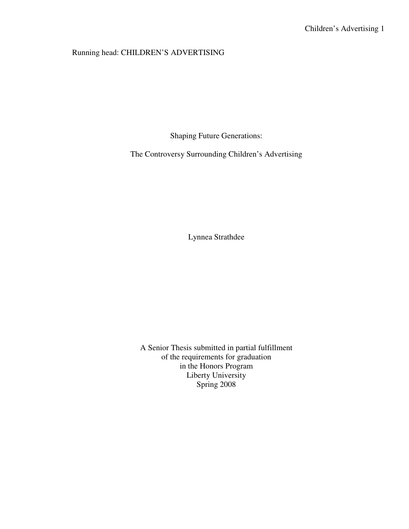# Running head: CHILDREN'S ADVERTISING

Shaping Future Generations:

The Controversy Surrounding Children's Advertising

Lynnea Strathdee

A Senior Thesis submitted in partial fulfillment of the requirements for graduation in the Honors Program Liberty University Spring 2008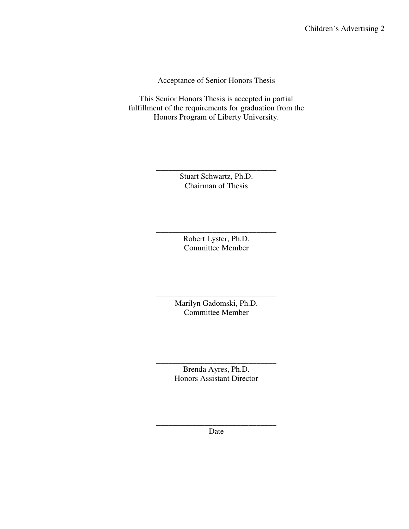Acceptance of Senior Honors Thesis

This Senior Honors Thesis is accepted in partial fulfillment of the requirements for graduation from the Honors Program of Liberty University.

> Stuart Schwartz, Ph.D. Chairman of Thesis

\_\_\_\_\_\_\_\_\_\_\_\_\_\_\_\_\_\_\_\_\_\_\_\_\_\_\_\_\_\_

Robert Lyster, Ph.D. Committee Member

\_\_\_\_\_\_\_\_\_\_\_\_\_\_\_\_\_\_\_\_\_\_\_\_\_\_\_\_\_\_

\_\_\_\_\_\_\_\_\_\_\_\_\_\_\_\_\_\_\_\_\_\_\_\_\_\_\_\_\_\_ Marilyn Gadomski, Ph.D. Committee Member

\_\_\_\_\_\_\_\_\_\_\_\_\_\_\_\_\_\_\_\_\_\_\_\_\_\_\_\_\_\_ Brenda Ayres, Ph.D. Honors Assistant Director

\_\_\_\_\_\_\_\_\_\_\_\_\_\_\_\_\_\_\_\_\_\_\_\_\_\_\_\_\_\_ Date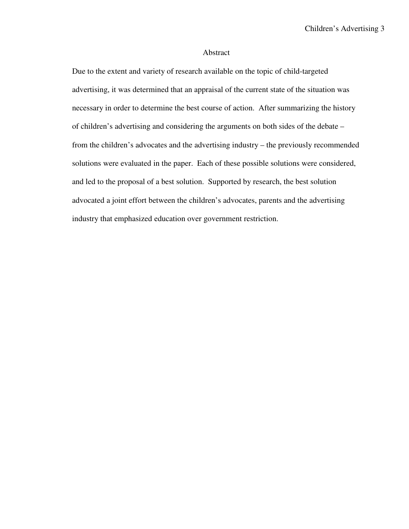# Abstract

Due to the extent and variety of research available on the topic of child-targeted advertising, it was determined that an appraisal of the current state of the situation was necessary in order to determine the best course of action. After summarizing the history of children's advertising and considering the arguments on both sides of the debate – from the children's advocates and the advertising industry – the previously recommended solutions were evaluated in the paper. Each of these possible solutions were considered, and led to the proposal of a best solution. Supported by research, the best solution advocated a joint effort between the children's advocates, parents and the advertising industry that emphasized education over government restriction.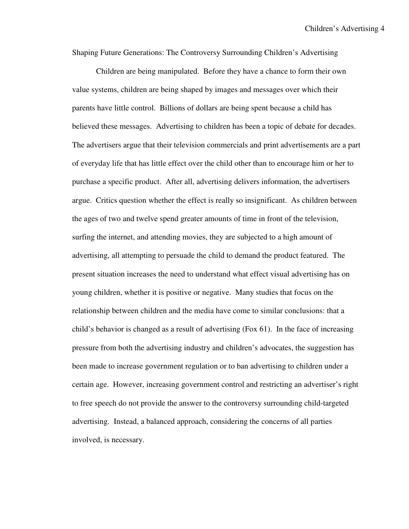Shaping Future Generations: The Controversy Surrounding Children's Advertising

Children are being manipulated. Before they have a chance to form their own value systems, children are being shaped by images and messages over which their parents have little control. Billions of dollars are being spent because a child has believed these messages. Advertising to children has been a topic of debate for decades. The advertisers argue that their television commercials and print advertisements are a part of everyday life that has little effect over the child other than to encourage him or her to purchase a specific product. After all, advertising delivers information, the advertisers argue. Critics question whether the effect is really so insignificant. As children between the ages of two and twelve spend greater amounts of time in front of the television, surfing the internet, and attending movies, they are subjected to a high amount of advertising, all attempting to persuade the child to demand the product featured. The present situation increases the need to understand what effect visual advertising has on young children, whether it is positive or negative. Many studies that focus on the relationship between children and the media have come to similar conclusions: that a child's behavior is changed as a result of advertising (Fox 61). In the face of increasing pressure from both the advertising industry and children's advocates, the suggestion has been made to increase government regulation or to ban advertising to children under a certain age. However, increasing government control and restricting an advertiser's right to free speech do not provide the answer to the controversy surrounding child-targeted advertising. Instead, a balanced approach, considering the concerns of all parties involved, is necessary.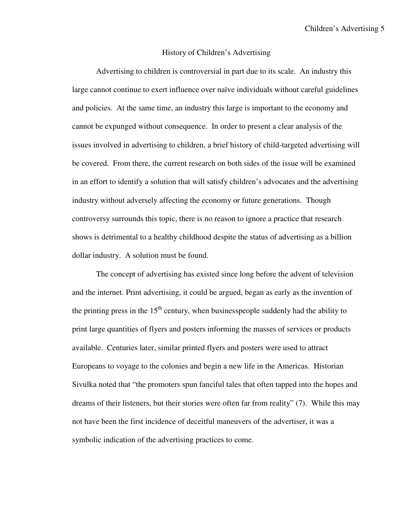#### History of Children's Advertising

Advertising to children is controversial in part due to its scale. An industry this large cannot continue to exert influence over naïve individuals without careful guidelines and policies. At the same time, an industry this large is important to the economy and cannot be expunged without consequence. In order to present a clear analysis of the issues involved in advertising to children, a brief history of child-targeted advertising will be covered. From there, the current research on both sides of the issue will be examined in an effort to identify a solution that will satisfy children's advocates and the advertising industry without adversely affecting the economy or future generations. Though controversy surrounds this topic, there is no reason to ignore a practice that research shows is detrimental to a healthy childhood despite the status of advertising as a billion dollar industry. A solution must be found.

The concept of advertising has existed since long before the advent of television and the internet. Print advertising, it could be argued, began as early as the invention of the printing press in the  $15<sup>th</sup>$  century, when businesspeople suddenly had the ability to print large quantities of flyers and posters informing the masses of services or products available. Centuries later, similar printed flyers and posters were used to attract Europeans to voyage to the colonies and begin a new life in the Americas. Historian Sivulka noted that "the promoters spun fanciful tales that often tapped into the hopes and dreams of their listeners, but their stories were often far from reality" (7). While this may not have been the first incidence of deceitful maneuvers of the advertiser, it was a symbolic indication of the advertising practices to come.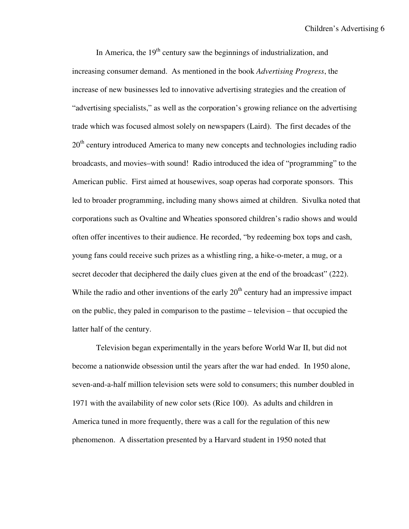In America, the  $19<sup>th</sup>$  century saw the beginnings of industrialization, and increasing consumer demand. As mentioned in the book *Advertising Progress*, the increase of new businesses led to innovative advertising strategies and the creation of "advertising specialists," as well as the corporation's growing reliance on the advertising trade which was focused almost solely on newspapers (Laird). The first decades of the 20<sup>th</sup> century introduced America to many new concepts and technologies including radio broadcasts, and movies–with sound! Radio introduced the idea of "programming" to the American public. First aimed at housewives, soap operas had corporate sponsors. This led to broader programming, including many shows aimed at children. Sivulka noted that corporations such as Ovaltine and Wheaties sponsored children's radio shows and would often offer incentives to their audience. He recorded, "by redeeming box tops and cash, young fans could receive such prizes as a whistling ring, a hike-o-meter, a mug, or a secret decoder that deciphered the daily clues given at the end of the broadcast" (222). While the radio and other inventions of the early  $20<sup>th</sup>$  century had an impressive impact on the public, they paled in comparison to the pastime – television – that occupied the latter half of the century.

Television began experimentally in the years before World War II, but did not become a nationwide obsession until the years after the war had ended. In 1950 alone, seven-and-a-half million television sets were sold to consumers; this number doubled in 1971 with the availability of new color sets (Rice 100). As adults and children in America tuned in more frequently, there was a call for the regulation of this new phenomenon. A dissertation presented by a Harvard student in 1950 noted that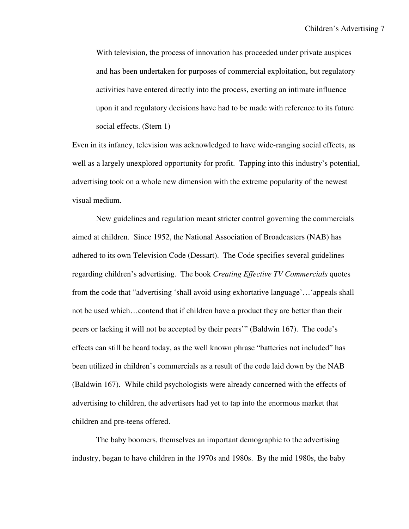With television, the process of innovation has proceeded under private auspices and has been undertaken for purposes of commercial exploitation, but regulatory activities have entered directly into the process, exerting an intimate influence upon it and regulatory decisions have had to be made with reference to its future social effects. (Stern 1)

Even in its infancy, television was acknowledged to have wide-ranging social effects, as well as a largely unexplored opportunity for profit. Tapping into this industry's potential, advertising took on a whole new dimension with the extreme popularity of the newest visual medium.

 New guidelines and regulation meant stricter control governing the commercials aimed at children. Since 1952, the National Association of Broadcasters (NAB) has adhered to its own Television Code (Dessart). The Code specifies several guidelines regarding children's advertising. The book *Creating Effective TV Commercials* quotes from the code that "advertising 'shall avoid using exhortative language'…'appeals shall not be used which…contend that if children have a product they are better than their peers or lacking it will not be accepted by their peers'" (Baldwin 167). The code's effects can still be heard today, as the well known phrase "batteries not included" has been utilized in children's commercials as a result of the code laid down by the NAB (Baldwin 167). While child psychologists were already concerned with the effects of advertising to children, the advertisers had yet to tap into the enormous market that children and pre-teens offered.

 The baby boomers, themselves an important demographic to the advertising industry, began to have children in the 1970s and 1980s. By the mid 1980s, the baby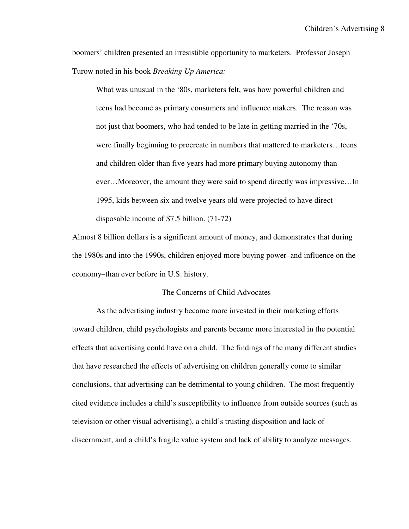boomers' children presented an irresistible opportunity to marketers. Professor Joseph Turow noted in his book *Breaking Up America:*

What was unusual in the '80s, marketers felt, was how powerful children and teens had become as primary consumers and influence makers. The reason was not just that boomers, who had tended to be late in getting married in the '70s, were finally beginning to procreate in numbers that mattered to marketers…teens and children older than five years had more primary buying autonomy than ever…Moreover, the amount they were said to spend directly was impressive…In 1995, kids between six and twelve years old were projected to have direct disposable income of \$7.5 billion. (71-72)

Almost 8 billion dollars is a significant amount of money, and demonstrates that during the 1980s and into the 1990s, children enjoyed more buying power–and influence on the economy–than ever before in U.S. history.

# The Concerns of Child Advocates

As the advertising industry became more invested in their marketing efforts toward children, child psychologists and parents became more interested in the potential effects that advertising could have on a child. The findings of the many different studies that have researched the effects of advertising on children generally come to similar conclusions, that advertising can be detrimental to young children. The most frequently cited evidence includes a child's susceptibility to influence from outside sources (such as television or other visual advertising), a child's trusting disposition and lack of discernment, and a child's fragile value system and lack of ability to analyze messages.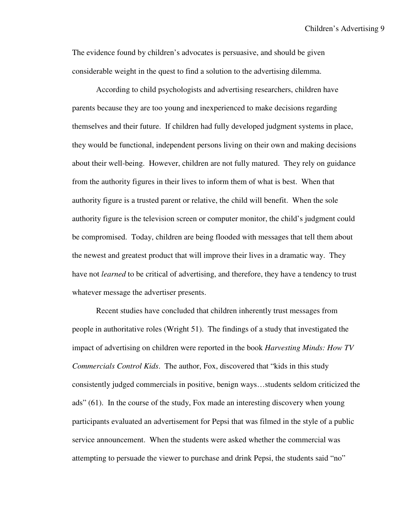The evidence found by children's advocates is persuasive, and should be given considerable weight in the quest to find a solution to the advertising dilemma.

According to child psychologists and advertising researchers, children have parents because they are too young and inexperienced to make decisions regarding themselves and their future. If children had fully developed judgment systems in place, they would be functional, independent persons living on their own and making decisions about their well-being. However, children are not fully matured. They rely on guidance from the authority figures in their lives to inform them of what is best. When that authority figure is a trusted parent or relative, the child will benefit. When the sole authority figure is the television screen or computer monitor, the child's judgment could be compromised. Today, children are being flooded with messages that tell them about the newest and greatest product that will improve their lives in a dramatic way. They have not *learned* to be critical of advertising, and therefore, they have a tendency to trust whatever message the advertiser presents.

Recent studies have concluded that children inherently trust messages from people in authoritative roles (Wright 51). The findings of a study that investigated the impact of advertising on children were reported in the book *Harvesting Minds: How TV Commercials Control Kids*. The author, Fox, discovered that "kids in this study consistently judged commercials in positive, benign ways…students seldom criticized the ads" (61). In the course of the study, Fox made an interesting discovery when young participants evaluated an advertisement for Pepsi that was filmed in the style of a public service announcement. When the students were asked whether the commercial was attempting to persuade the viewer to purchase and drink Pepsi, the students said "no"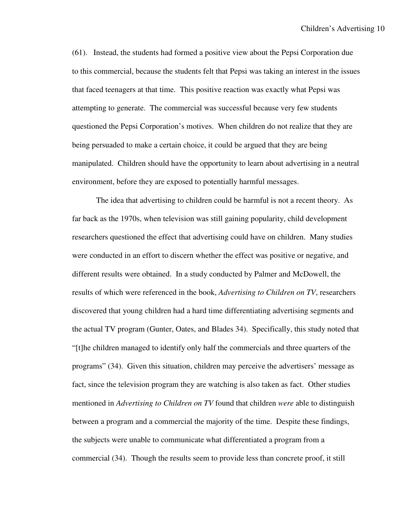(61). Instead, the students had formed a positive view about the Pepsi Corporation due to this commercial, because the students felt that Pepsi was taking an interest in the issues that faced teenagers at that time. This positive reaction was exactly what Pepsi was attempting to generate. The commercial was successful because very few students questioned the Pepsi Corporation's motives. When children do not realize that they are being persuaded to make a certain choice, it could be argued that they are being manipulated. Children should have the opportunity to learn about advertising in a neutral environment, before they are exposed to potentially harmful messages.

 The idea that advertising to children could be harmful is not a recent theory. As far back as the 1970s, when television was still gaining popularity, child development researchers questioned the effect that advertising could have on children. Many studies were conducted in an effort to discern whether the effect was positive or negative, and different results were obtained. In a study conducted by Palmer and McDowell, the results of which were referenced in the book, *Advertising to Children on TV*, researchers discovered that young children had a hard time differentiating advertising segments and the actual TV program (Gunter, Oates, and Blades 34). Specifically, this study noted that "[t]he children managed to identify only half the commercials and three quarters of the programs" (34). Given this situation, children may perceive the advertisers' message as fact, since the television program they are watching is also taken as fact. Other studies mentioned in *Advertising to Children on TV* found that children *were* able to distinguish between a program and a commercial the majority of the time. Despite these findings, the subjects were unable to communicate what differentiated a program from a commercial (34). Though the results seem to provide less than concrete proof, it still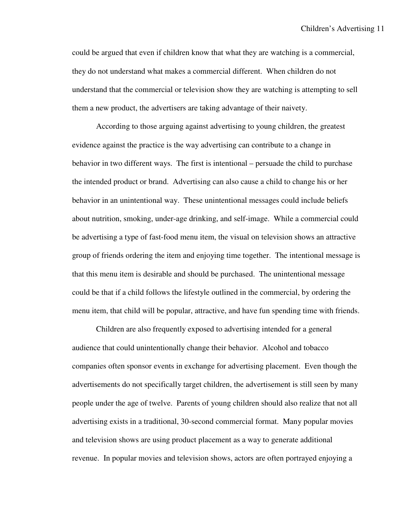could be argued that even if children know that what they are watching is a commercial, they do not understand what makes a commercial different. When children do not understand that the commercial or television show they are watching is attempting to sell them a new product, the advertisers are taking advantage of their naivety.

 According to those arguing against advertising to young children, the greatest evidence against the practice is the way advertising can contribute to a change in behavior in two different ways. The first is intentional – persuade the child to purchase the intended product or brand. Advertising can also cause a child to change his or her behavior in an unintentional way. These unintentional messages could include beliefs about nutrition, smoking, under-age drinking, and self-image. While a commercial could be advertising a type of fast-food menu item, the visual on television shows an attractive group of friends ordering the item and enjoying time together. The intentional message is that this menu item is desirable and should be purchased. The unintentional message could be that if a child follows the lifestyle outlined in the commercial, by ordering the menu item, that child will be popular, attractive, and have fun spending time with friends.

Children are also frequently exposed to advertising intended for a general audience that could unintentionally change their behavior. Alcohol and tobacco companies often sponsor events in exchange for advertising placement. Even though the advertisements do not specifically target children, the advertisement is still seen by many people under the age of twelve. Parents of young children should also realize that not all advertising exists in a traditional, 30-second commercial format. Many popular movies and television shows are using product placement as a way to generate additional revenue. In popular movies and television shows, actors are often portrayed enjoying a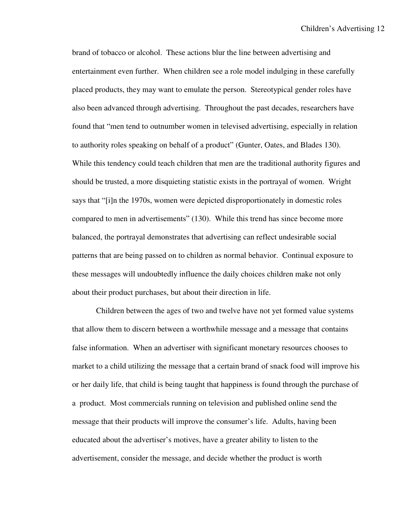brand of tobacco or alcohol. These actions blur the line between advertising and entertainment even further. When children see a role model indulging in these carefully placed products, they may want to emulate the person. Stereotypical gender roles have also been advanced through advertising. Throughout the past decades, researchers have found that "men tend to outnumber women in televised advertising, especially in relation to authority roles speaking on behalf of a product" (Gunter, Oates, and Blades 130). While this tendency could teach children that men are the traditional authority figures and should be trusted, a more disquieting statistic exists in the portrayal of women. Wright says that "[i]n the 1970s, women were depicted disproportionately in domestic roles compared to men in advertisements" (130). While this trend has since become more balanced, the portrayal demonstrates that advertising can reflect undesirable social patterns that are being passed on to children as normal behavior. Continual exposure to these messages will undoubtedly influence the daily choices children make not only about their product purchases, but about their direction in life.

 Children between the ages of two and twelve have not yet formed value systems that allow them to discern between a worthwhile message and a message that contains false information. When an advertiser with significant monetary resources chooses to market to a child utilizing the message that a certain brand of snack food will improve his or her daily life, that child is being taught that happiness is found through the purchase of a product. Most commercials running on television and published online send the message that their products will improve the consumer's life. Adults, having been educated about the advertiser's motives, have a greater ability to listen to the advertisement, consider the message, and decide whether the product is worth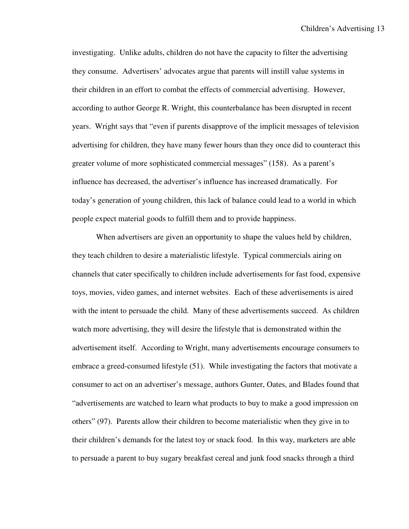investigating. Unlike adults, children do not have the capacity to filter the advertising they consume. Advertisers' advocates argue that parents will instill value systems in their children in an effort to combat the effects of commercial advertising. However, according to author George R. Wright, this counterbalance has been disrupted in recent years. Wright says that "even if parents disapprove of the implicit messages of television advertising for children, they have many fewer hours than they once did to counteract this greater volume of more sophisticated commercial messages" (158). As a parent's influence has decreased, the advertiser's influence has increased dramatically. For today's generation of young children, this lack of balance could lead to a world in which people expect material goods to fulfill them and to provide happiness.

 When advertisers are given an opportunity to shape the values held by children, they teach children to desire a materialistic lifestyle. Typical commercials airing on channels that cater specifically to children include advertisements for fast food, expensive toys, movies, video games, and internet websites. Each of these advertisements is aired with the intent to persuade the child. Many of these advertisements succeed. As children watch more advertising, they will desire the lifestyle that is demonstrated within the advertisement itself. According to Wright, many advertisements encourage consumers to embrace a greed-consumed lifestyle (51). While investigating the factors that motivate a consumer to act on an advertiser's message, authors Gunter, Oates, and Blades found that "advertisements are watched to learn what products to buy to make a good impression on others" (97). Parents allow their children to become materialistic when they give in to their children's demands for the latest toy or snack food. In this way, marketers are able to persuade a parent to buy sugary breakfast cereal and junk food snacks through a third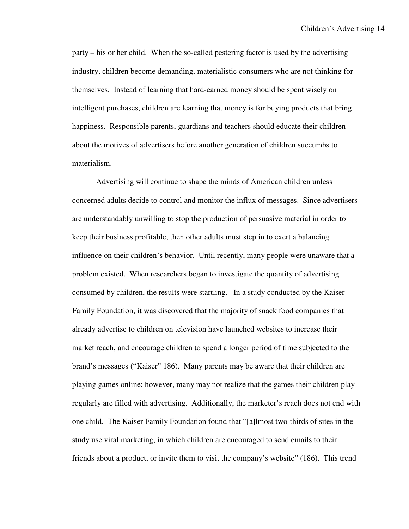party – his or her child. When the so-called pestering factor is used by the advertising industry, children become demanding, materialistic consumers who are not thinking for themselves. Instead of learning that hard-earned money should be spent wisely on intelligent purchases, children are learning that money is for buying products that bring happiness. Responsible parents, guardians and teachers should educate their children about the motives of advertisers before another generation of children succumbs to materialism.

Advertising will continue to shape the minds of American children unless concerned adults decide to control and monitor the influx of messages. Since advertisers are understandably unwilling to stop the production of persuasive material in order to keep their business profitable, then other adults must step in to exert a balancing influence on their children's behavior. Until recently, many people were unaware that a problem existed. When researchers began to investigate the quantity of advertising consumed by children, the results were startling. In a study conducted by the Kaiser Family Foundation, it was discovered that the majority of snack food companies that already advertise to children on television have launched websites to increase their market reach, and encourage children to spend a longer period of time subjected to the brand's messages ("Kaiser" 186). Many parents may be aware that their children are playing games online; however, many may not realize that the games their children play regularly are filled with advertising. Additionally, the marketer's reach does not end with one child. The Kaiser Family Foundation found that "[a]lmost two-thirds of sites in the study use viral marketing, in which children are encouraged to send emails to their friends about a product, or invite them to visit the company's website" (186). This trend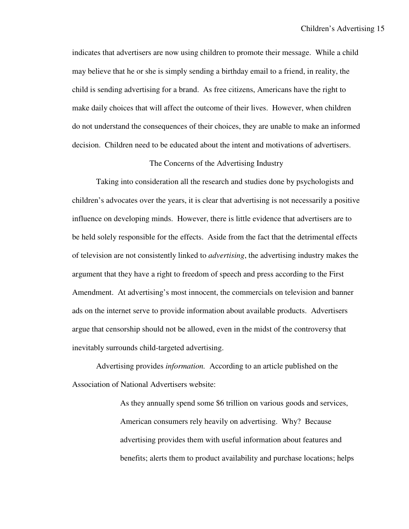indicates that advertisers are now using children to promote their message. While a child may believe that he or she is simply sending a birthday email to a friend, in reality, the child is sending advertising for a brand. As free citizens, Americans have the right to make daily choices that will affect the outcome of their lives. However, when children do not understand the consequences of their choices, they are unable to make an informed decision. Children need to be educated about the intent and motivations of advertisers.

# The Concerns of the Advertising Industry

Taking into consideration all the research and studies done by psychologists and children's advocates over the years, it is clear that advertising is not necessarily a positive influence on developing minds. However, there is little evidence that advertisers are to be held solely responsible for the effects. Aside from the fact that the detrimental effects of television are not consistently linked to *advertising*, the advertising industry makes the argument that they have a right to freedom of speech and press according to the First Amendment. At advertising's most innocent, the commercials on television and banner ads on the internet serve to provide information about available products. Advertisers argue that censorship should not be allowed, even in the midst of the controversy that inevitably surrounds child-targeted advertising.

Advertising provides *information.* According to an article published on the Association of National Advertisers website:

> As they annually spend some \$6 trillion on various goods and services, American consumers rely heavily on advertising. Why? Because advertising provides them with useful information about features and benefits; alerts them to product availability and purchase locations; helps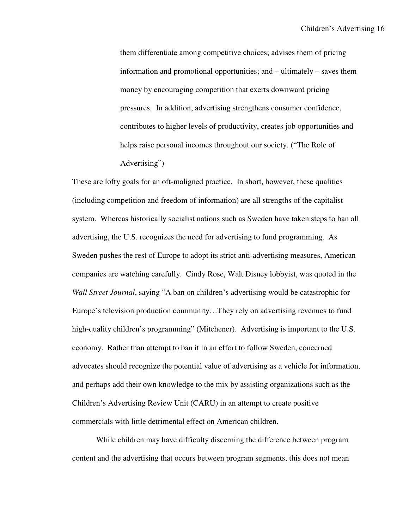them differentiate among competitive choices; advises them of pricing information and promotional opportunities; and – ultimately – saves them money by encouraging competition that exerts downward pricing pressures. In addition, advertising strengthens consumer confidence, contributes to higher levels of productivity, creates job opportunities and helps raise personal incomes throughout our society. ("The Role of Advertising")

These are lofty goals for an oft-maligned practice. In short, however, these qualities (including competition and freedom of information) are all strengths of the capitalist system. Whereas historically socialist nations such as Sweden have taken steps to ban all advertising, the U.S. recognizes the need for advertising to fund programming. As Sweden pushes the rest of Europe to adopt its strict anti-advertising measures, American companies are watching carefully. Cindy Rose, Walt Disney lobbyist, was quoted in the *Wall Street Journal*, saying "A ban on children's advertising would be catastrophic for Europe's television production community…They rely on advertising revenues to fund high-quality children's programming" (Mitchener). Advertising is important to the U.S. economy. Rather than attempt to ban it in an effort to follow Sweden, concerned advocates should recognize the potential value of advertising as a vehicle for information, and perhaps add their own knowledge to the mix by assisting organizations such as the Children's Advertising Review Unit (CARU) in an attempt to create positive commercials with little detrimental effect on American children.

While children may have difficulty discerning the difference between program content and the advertising that occurs between program segments, this does not mean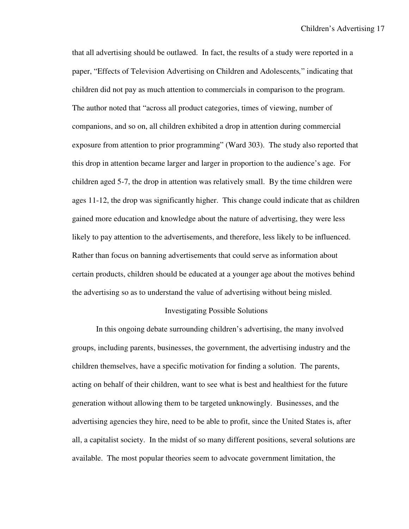that all advertising should be outlawed. In fact, the results of a study were reported in a paper, "Effects of Television Advertising on Children and Adolescents*,*" indicating that children did not pay as much attention to commercials in comparison to the program. The author noted that "across all product categories, times of viewing, number of companions, and so on, all children exhibited a drop in attention during commercial exposure from attention to prior programming" (Ward 303). The study also reported that this drop in attention became larger and larger in proportion to the audience's age. For children aged 5-7, the drop in attention was relatively small. By the time children were ages 11-12, the drop was significantly higher. This change could indicate that as children gained more education and knowledge about the nature of advertising, they were less likely to pay attention to the advertisements, and therefore, less likely to be influenced. Rather than focus on banning advertisements that could serve as information about certain products, children should be educated at a younger age about the motives behind the advertising so as to understand the value of advertising without being misled.

#### Investigating Possible Solutions

In this ongoing debate surrounding children's advertising, the many involved groups, including parents, businesses, the government, the advertising industry and the children themselves, have a specific motivation for finding a solution. The parents, acting on behalf of their children, want to see what is best and healthiest for the future generation without allowing them to be targeted unknowingly. Businesses, and the advertising agencies they hire, need to be able to profit, since the United States is, after all, a capitalist society. In the midst of so many different positions, several solutions are available. The most popular theories seem to advocate government limitation, the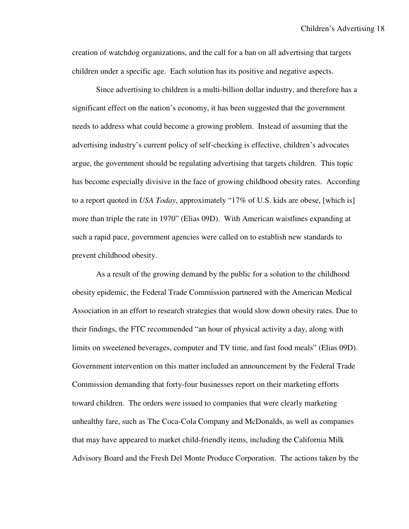creation of watchdog organizations, and the call for a ban on all advertising that targets children under a specific age. Each solution has its positive and negative aspects.

Since advertising to children is a multi-billion dollar industry, and therefore has a significant effect on the nation's economy, it has been suggested that the government needs to address what could become a growing problem. Instead of assuming that the advertising industry's current policy of self-checking is effective, children's advocates argue, the government should be regulating advertising that targets children. This topic has become especially divisive in the face of growing childhood obesity rates. According to a report quoted in *USA Today*, approximately "17% of U.S. kids are obese, [which is] more than triple the rate in 1970" (Elias 09D). With American waistlines expanding at such a rapid pace, government agencies were called on to establish new standards to prevent childhood obesity.

As a result of the growing demand by the public for a solution to the childhood obesity epidemic, the Federal Trade Commission partnered with the American Medical Association in an effort to research strategies that would slow down obesity rates. Due to their findings, the FTC recommended "an hour of physical activity a day, along with limits on sweetened beverages, computer and TV time, and fast food meals" (Elias 09D). Government intervention on this matter included an announcement by the Federal Trade Commission demanding that forty-four businesses report on their marketing efforts toward children. The orders were issued to companies that were clearly marketing unhealthy fare, such as The Coca-Cola Company and McDonalds, as well as companies that may have appeared to market child-friendly items, including the California Milk Advisory Board and the Fresh Del Monte Produce Corporation. The actions taken by the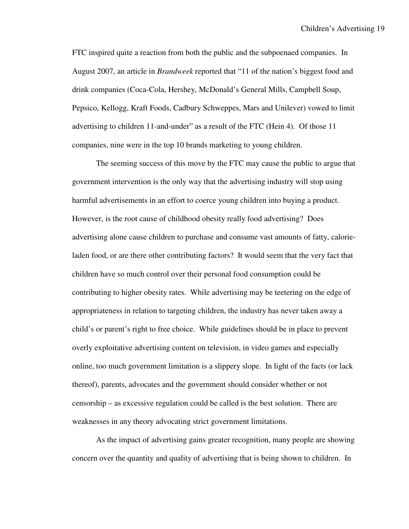FTC inspired quite a reaction from both the public and the subpoenaed companies. In August 2007, an article in *Brandweek* reported that "11 of the nation's biggest food and drink companies (Coca-Cola, Hershey, McDonald's General Mills, Campbell Soup, Pepsico, Kellogg, Kraft Foods, Cadbury Schweppes, Mars and Unilever) vowed to limit advertising to children 11-and-under" as a result of the FTC (Hein 4). Of those 11 companies, nine were in the top 10 brands marketing to young children.

The seeming success of this move by the FTC may cause the public to argue that government intervention is the only way that the advertising industry will stop using harmful advertisements in an effort to coerce young children into buying a product. However, is the root cause of childhood obesity really food advertising? Does advertising alone cause children to purchase and consume vast amounts of fatty, calorieladen food, or are there other contributing factors? It would seem that the very fact that children have so much control over their personal food consumption could be contributing to higher obesity rates. While advertising may be teetering on the edge of appropriateness in relation to targeting children, the industry has never taken away a child's or parent's right to free choice. While guidelines should be in place to prevent overly exploitative advertising content on television, in video games and especially online, too much government limitation is a slippery slope. In light of the facts (or lack thereof), parents, advocates and the government should consider whether or not censorship – as excessive regulation could be called is the best solution. There are weaknesses in any theory advocating strict government limitations.

As the impact of advertising gains greater recognition, many people are showing concern over the quantity and quality of advertising that is being shown to children. In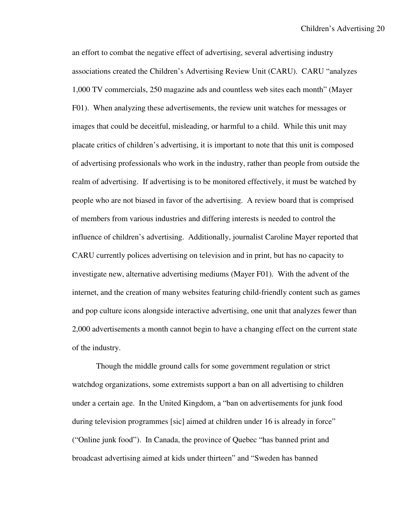an effort to combat the negative effect of advertising, several advertising industry associations created the Children's Advertising Review Unit (CARU). CARU "analyzes 1,000 TV commercials, 250 magazine ads and countless web sites each month" (Mayer F01). When analyzing these advertisements, the review unit watches for messages or images that could be deceitful, misleading, or harmful to a child. While this unit may placate critics of children's advertising, it is important to note that this unit is composed of advertising professionals who work in the industry, rather than people from outside the realm of advertising. If advertising is to be monitored effectively, it must be watched by people who are not biased in favor of the advertising. A review board that is comprised of members from various industries and differing interests is needed to control the influence of children's advertising. Additionally, journalist Caroline Mayer reported that CARU currently polices advertising on television and in print, but has no capacity to investigate new, alternative advertising mediums (Mayer F01). With the advent of the internet, and the creation of many websites featuring child-friendly content such as games and pop culture icons alongside interactive advertising, one unit that analyzes fewer than 2,000 advertisements a month cannot begin to have a changing effect on the current state of the industry.

Though the middle ground calls for some government regulation or strict watchdog organizations, some extremists support a ban on all advertising to children under a certain age. In the United Kingdom, a "ban on advertisements for junk food during television programmes [sic] aimed at children under 16 is already in force" ("Online junk food"). In Canada, the province of Quebec "has banned print and broadcast advertising aimed at kids under thirteen" and "Sweden has banned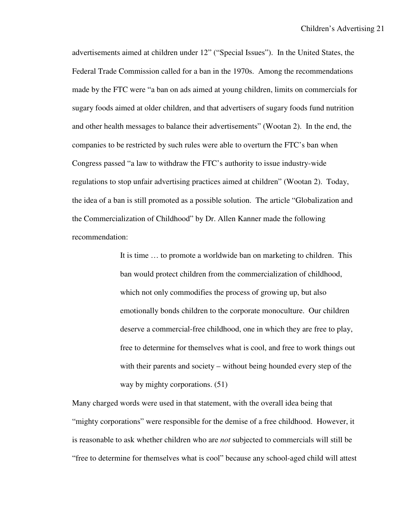advertisements aimed at children under 12" ("Special Issues"). In the United States, the Federal Trade Commission called for a ban in the 1970s. Among the recommendations made by the FTC were "a ban on ads aimed at young children, limits on commercials for sugary foods aimed at older children, and that advertisers of sugary foods fund nutrition and other health messages to balance their advertisements" (Wootan 2). In the end, the companies to be restricted by such rules were able to overturn the FTC's ban when Congress passed "a law to withdraw the FTC's authority to issue industry-wide regulations to stop unfair advertising practices aimed at children" (Wootan 2). Today, the idea of a ban is still promoted as a possible solution. The article "Globalization and the Commercialization of Childhood" by Dr. Allen Kanner made the following recommendation:

> It is time … to promote a worldwide ban on marketing to children. This ban would protect children from the commercialization of childhood, which not only commodifies the process of growing up, but also emotionally bonds children to the corporate monoculture. Our children deserve a commercial-free childhood, one in which they are free to play, free to determine for themselves what is cool, and free to work things out with their parents and society – without being hounded every step of the way by mighty corporations. (51)

Many charged words were used in that statement, with the overall idea being that "mighty corporations" were responsible for the demise of a free childhood. However, it is reasonable to ask whether children who are *not* subjected to commercials will still be "free to determine for themselves what is cool" because any school-aged child will attest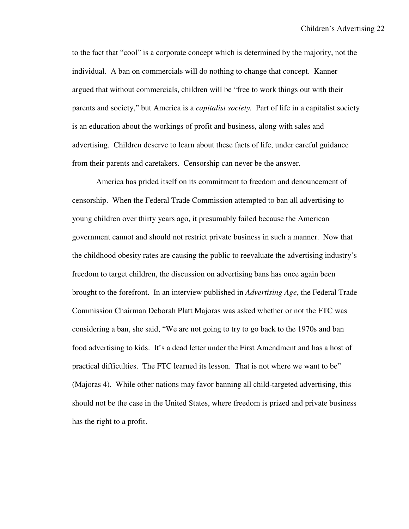to the fact that "cool" is a corporate concept which is determined by the majority, not the individual. A ban on commercials will do nothing to change that concept. Kanner argued that without commercials, children will be "free to work things out with their parents and society," but America is a *capitalist society.* Part of life in a capitalist society is an education about the workings of profit and business, along with sales and advertising. Children deserve to learn about these facts of life, under careful guidance from their parents and caretakers. Censorship can never be the answer.

 America has prided itself on its commitment to freedom and denouncement of censorship. When the Federal Trade Commission attempted to ban all advertising to young children over thirty years ago, it presumably failed because the American government cannot and should not restrict private business in such a manner. Now that the childhood obesity rates are causing the public to reevaluate the advertising industry's freedom to target children, the discussion on advertising bans has once again been brought to the forefront. In an interview published in *Advertising Age*, the Federal Trade Commission Chairman Deborah Platt Majoras was asked whether or not the FTC was considering a ban, she said, "We are not going to try to go back to the 1970s and ban food advertising to kids. It's a dead letter under the First Amendment and has a host of practical difficulties. The FTC learned its lesson. That is not where we want to be" (Majoras 4). While other nations may favor banning all child-targeted advertising, this should not be the case in the United States, where freedom is prized and private business has the right to a profit.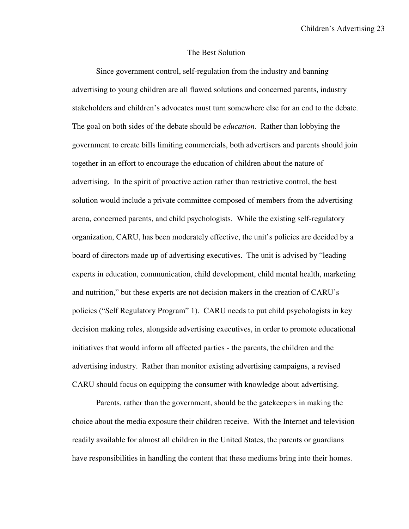#### The Best Solution

Since government control, self-regulation from the industry and banning advertising to young children are all flawed solutions and concerned parents, industry stakeholders and children's advocates must turn somewhere else for an end to the debate. The goal on both sides of the debate should be *education.* Rather than lobbying the government to create bills limiting commercials, both advertisers and parents should join together in an effort to encourage the education of children about the nature of advertising. In the spirit of proactive action rather than restrictive control, the best solution would include a private committee composed of members from the advertising arena, concerned parents, and child psychologists. While the existing self-regulatory organization, CARU, has been moderately effective, the unit's policies are decided by a board of directors made up of advertising executives. The unit is advised by "leading experts in education, communication, child development, child mental health, marketing and nutrition," but these experts are not decision makers in the creation of CARU's policies ("Self Regulatory Program" 1). CARU needs to put child psychologists in key decision making roles, alongside advertising executives, in order to promote educational initiatives that would inform all affected parties - the parents, the children and the advertising industry. Rather than monitor existing advertising campaigns, a revised CARU should focus on equipping the consumer with knowledge about advertising.

 Parents, rather than the government, should be the gatekeepers in making the choice about the media exposure their children receive. With the Internet and television readily available for almost all children in the United States, the parents or guardians have responsibilities in handling the content that these mediums bring into their homes.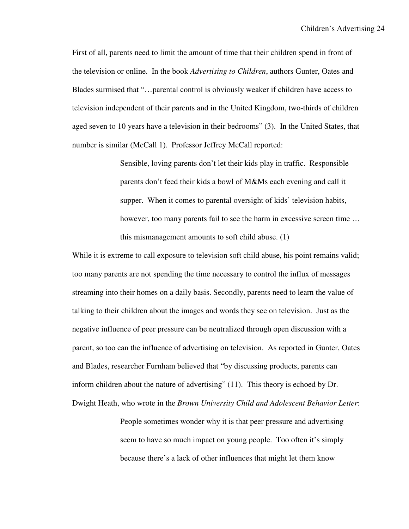First of all, parents need to limit the amount of time that their children spend in front of the television or online. In the book *Advertising to Children*, authors Gunter, Oates and Blades surmised that "…parental control is obviously weaker if children have access to television independent of their parents and in the United Kingdom, two-thirds of children aged seven to 10 years have a television in their bedrooms" (3). In the United States, that number is similar (McCall 1). Professor Jeffrey McCall reported:

> Sensible, loving parents don't let their kids play in traffic. Responsible parents don't feed their kids a bowl of M&Ms each evening and call it supper. When it comes to parental oversight of kids' television habits, however, too many parents fail to see the harm in excessive screen time ... this mismanagement amounts to soft child abuse. (1)

While it is extreme to call exposure to television soft child abuse, his point remains valid; too many parents are not spending the time necessary to control the influx of messages streaming into their homes on a daily basis. Secondly, parents need to learn the value of talking to their children about the images and words they see on television. Just as the negative influence of peer pressure can be neutralized through open discussion with a parent, so too can the influence of advertising on television. As reported in Gunter, Oates and Blades, researcher Furnham believed that "by discussing products, parents can inform children about the nature of advertising" (11). This theory is echoed by Dr. Dwight Heath, who wrote in the *Brown University Child and Adolescent Behavior Letter*:

> People sometimes wonder why it is that peer pressure and advertising seem to have so much impact on young people. Too often it's simply because there's a lack of other influences that might let them know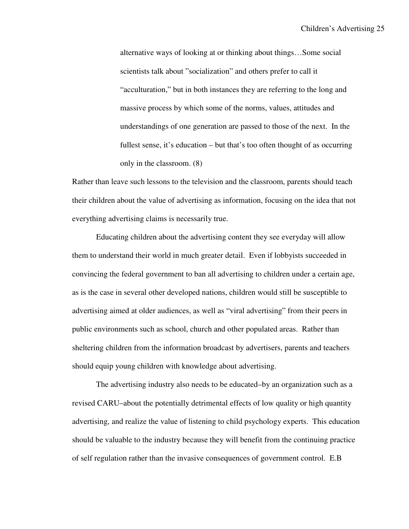alternative ways of looking at or thinking about things…Some social scientists talk about "socialization" and others prefer to call it "acculturation," but in both instances they are referring to the long and massive process by which some of the norms, values, attitudes and understandings of one generation are passed to those of the next. In the fullest sense, it's education – but that's too often thought of as occurring only in the classroom. (8)

Rather than leave such lessons to the television and the classroom, parents should teach their children about the value of advertising as information, focusing on the idea that not everything advertising claims is necessarily true.

 Educating children about the advertising content they see everyday will allow them to understand their world in much greater detail. Even if lobbyists succeeded in convincing the federal government to ban all advertising to children under a certain age, as is the case in several other developed nations, children would still be susceptible to advertising aimed at older audiences, as well as "viral advertising" from their peers in public environments such as school, church and other populated areas. Rather than sheltering children from the information broadcast by advertisers, parents and teachers should equip young children with knowledge about advertising.

 The advertising industry also needs to be educated–by an organization such as a revised CARU–about the potentially detrimental effects of low quality or high quantity advertising, and realize the value of listening to child psychology experts. This education should be valuable to the industry because they will benefit from the continuing practice of self regulation rather than the invasive consequences of government control. E.B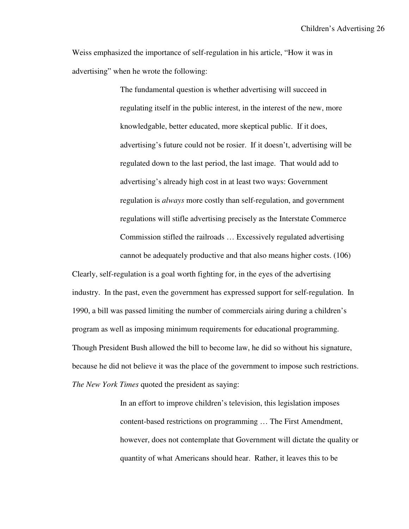Children's Advertising 26

Weiss emphasized the importance of self-regulation in his article, "How it was in advertising" when he wrote the following:

> The fundamental question is whether advertising will succeed in regulating itself in the public interest, in the interest of the new, more knowledgable, better educated, more skeptical public. If it does, advertising's future could not be rosier. If it doesn't, advertising will be regulated down to the last period, the last image. That would add to advertising's already high cost in at least two ways: Government regulation is *always* more costly than self-regulation, and government regulations will stifle advertising precisely as the Interstate Commerce Commission stifled the railroads … Excessively regulated advertising cannot be adequately productive and that also means higher costs. (106)

Clearly, self-regulation is a goal worth fighting for, in the eyes of the advertising industry. In the past, even the government has expressed support for self-regulation. In 1990, a bill was passed limiting the number of commercials airing during a children's program as well as imposing minimum requirements for educational programming. Though President Bush allowed the bill to become law, he did so without his signature, because he did not believe it was the place of the government to impose such restrictions. *The New York Times* quoted the president as saying:

> In an effort to improve children's television, this legislation imposes content-based restrictions on programming … The First Amendment, however, does not contemplate that Government will dictate the quality or quantity of what Americans should hear. Rather, it leaves this to be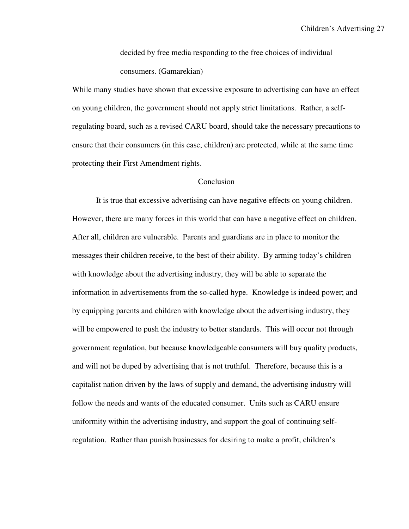decided by free media responding to the free choices of individual consumers. (Gamarekian)

While many studies have shown that excessive exposure to advertising can have an effect on young children, the government should not apply strict limitations. Rather, a selfregulating board, such as a revised CARU board, should take the necessary precautions to ensure that their consumers (in this case, children) are protected, while at the same time protecting their First Amendment rights.

# Conclusion

It is true that excessive advertising can have negative effects on young children. However, there are many forces in this world that can have a negative effect on children. After all, children are vulnerable. Parents and guardians are in place to monitor the messages their children receive, to the best of their ability. By arming today's children with knowledge about the advertising industry, they will be able to separate the information in advertisements from the so-called hype. Knowledge is indeed power; and by equipping parents and children with knowledge about the advertising industry, they will be empowered to push the industry to better standards. This will occur not through government regulation, but because knowledgeable consumers will buy quality products, and will not be duped by advertising that is not truthful. Therefore, because this is a capitalist nation driven by the laws of supply and demand, the advertising industry will follow the needs and wants of the educated consumer. Units such as CARU ensure uniformity within the advertising industry, and support the goal of continuing selfregulation. Rather than punish businesses for desiring to make a profit, children's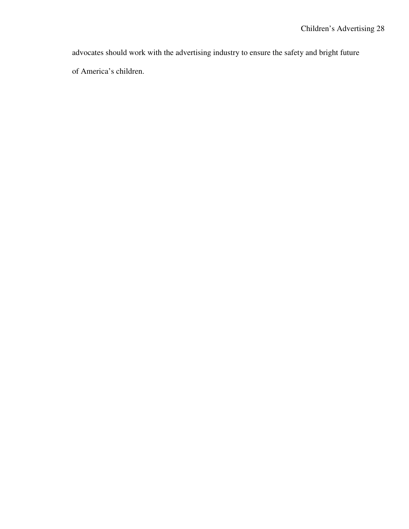advocates should work with the advertising industry to ensure the safety and bright future of America's children.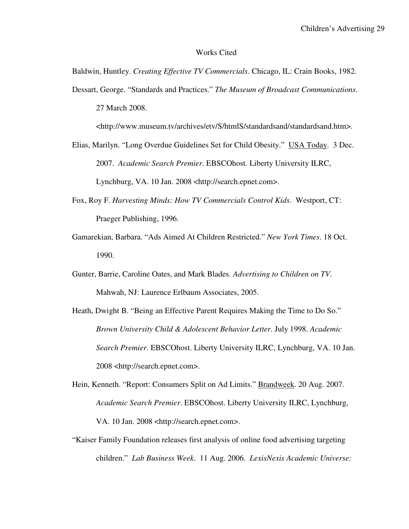#### Works Cited

Baldwin, Huntley. *Creating Effective TV Commercials*. Chicago, IL: Crain Books, 1982.

Dessart, George. "Standards and Practices." *The Museum of Broadcast Communications*. 27 March 2008.

<http://www.museum.tv/archives/etv/S/htmlS/standardsand/standardsand.htm>.

- Elias, Marilyn. "Long Overdue Guidelines Set for Child Obesity." USA Today. 3 Dec. 2007. *Academic Search Premier*. EBSCOhost. Liberty University ILRC, Lynchburg, VA. 10 Jan. 2008 <http://search.epnet.com>.
- Fox, Roy F. *Harvesting Minds: How TV Commercials Control Kids*. Westport, CT: Praeger Publishing, 1996.
- Gamarekian, Barbara. "Ads Aimed At Children Restricted." *New York Times*. 18 Oct. 1990.
- Gunter, Barrie, Caroline Oates, and Mark Blades. *Advertising to Children on TV*. Mahwah, NJ: Laurence Erlbaum Associates, 2005.
- Heath, Dwight B. "Being an Effective Parent Requires Making the Time to Do So." *Brown University Child & Adolescent Behavior Letter*. July 1998. *Academic Search Premier*. EBSCOhost. Liberty University ILRC, Lynchburg, VA. 10 Jan. 2008 <http://search.epnet.com>.
- Hein, Kenneth. "Report: Consumers Split on Ad Limits." Brandweek. 20 Aug. 2007. *Academic Search Premier*. EBSCOhost. Liberty University ILRC, Lynchburg, VA. 10 Jan. 2008 <http://search.epnet.com>.
- "Kaiser Family Foundation releases first analysis of online food advertising targeting children." *Lab Business Week*. 11 Aug. 2006. *LexisNexis Academic Universe:*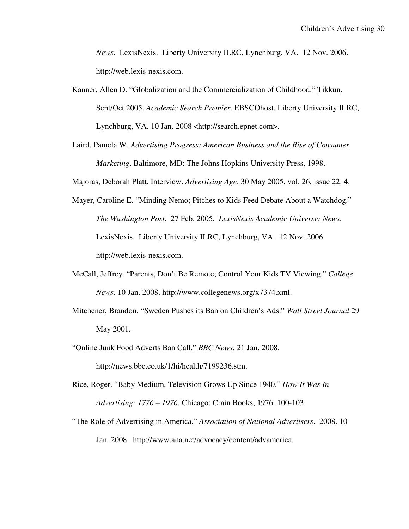*News*. LexisNexis. Liberty University ILRC, Lynchburg, VA. 12 Nov. 2006. http://web.lexis-nexis.com.

- Kanner, Allen D. "Globalization and the Commercialization of Childhood." Tikkun. Sept/Oct 2005. *Academic Search Premier*. EBSCOhost. Liberty University ILRC, Lynchburg, VA. 10 Jan. 2008 <http://search.epnet.com>.
- Laird, Pamela W. *Advertising Progress: American Business and the Rise of Consumer Marketing*. Baltimore, MD: The Johns Hopkins University Press, 1998.

Majoras, Deborah Platt. Interview. *Advertising Age*. 30 May 2005, vol. 26, issue 22. 4.

- Mayer, Caroline E. "Minding Nemo; Pitches to Kids Feed Debate About a Watchdog." *The Washington Post*. 27 Feb. 2005. *LexisNexis Academic Universe: News.*  LexisNexis. Liberty University ILRC, Lynchburg, VA. 12 Nov. 2006. http://web.lexis-nexis.com.
- McCall, Jeffrey. "Parents, Don't Be Remote; Control Your Kids TV Viewing." *College News*. 10 Jan. 2008. http://www.collegenews.org/x7374.xml.
- Mitchener, Brandon. "Sweden Pushes its Ban on Children's Ads." *Wall Street Journal* 29 May 2001.
- "Online Junk Food Adverts Ban Call." *BBC News*. 21 Jan. 2008. http://news.bbc.co.uk/1/hi/health/7199236.stm.
- Rice, Roger. "Baby Medium, Television Grows Up Since 1940." *How It Was In Advertising: 1776 – 1976.* Chicago: Crain Books, 1976. 100-103.
- "The Role of Advertising in America." *Association of National Advertisers*. 2008. 10 Jan. 2008. http://www.ana.net/advocacy/content/advamerica.